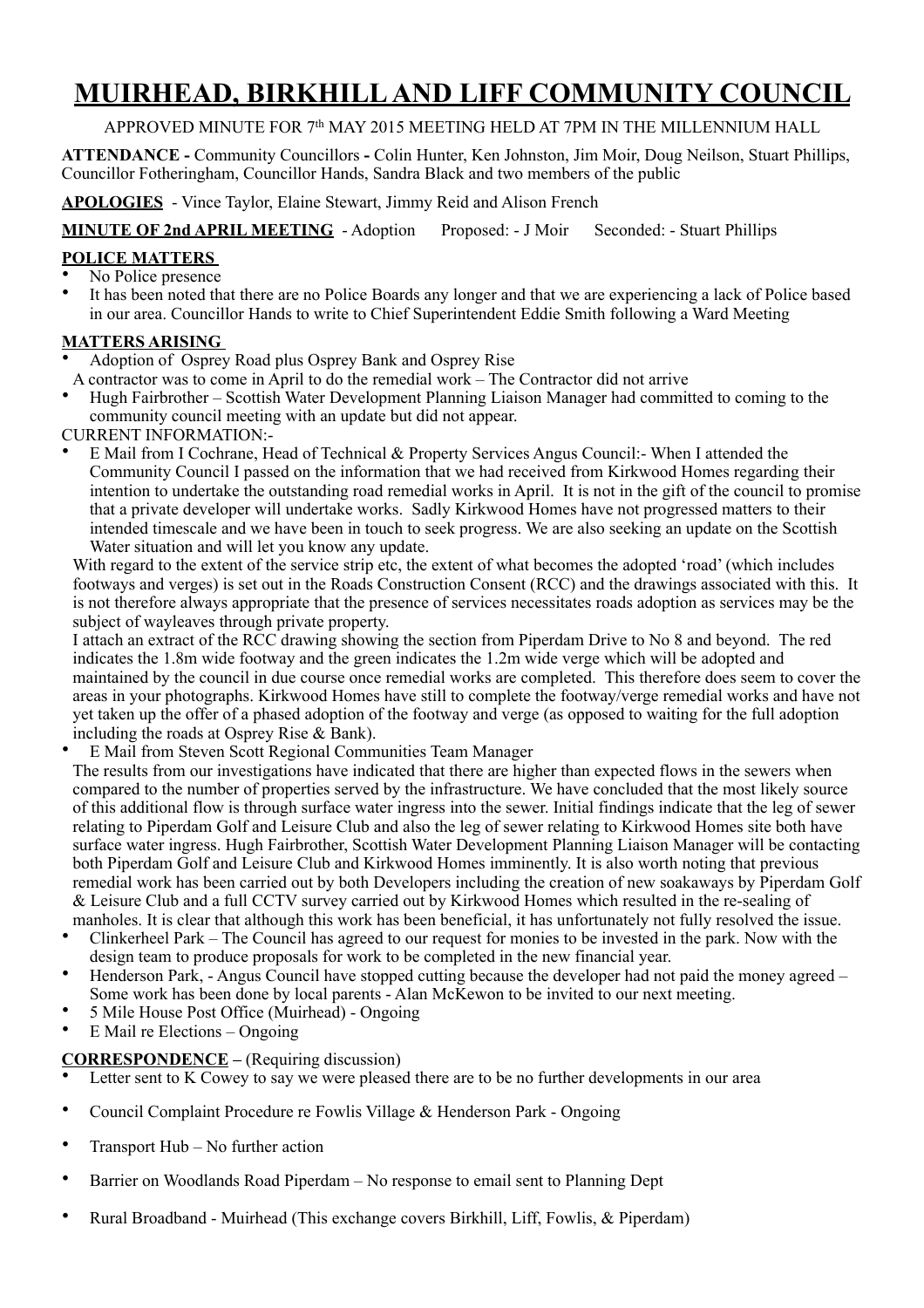# **MUIRHEAD, BIRKHILL AND LIFF COMMUNITY COUNCIL**

# APPROVED MINUTE FOR 7<sup>th</sup> MAY 2015 MEETING HELD AT 7PM IN THE MILLENNIUM HALL

**ATTENDANCE -** Community Councillors **-** Colin Hunter, Ken Johnston, Jim Moir, Doug Neilson, Stuart Phillips, Councillor Fotheringham, Councillor Hands, Sandra Black and two members of the public

**APOLOGIES** - Vince Taylor, Elaine Stewart, Jimmy Reid and Alison French

**MINUTE OF 2nd APRIL MEETING** - Adoption Proposed: - J Moir Seconded: - Stuart Phillips

### **POLICE MATTERS**

- No Police presence
- It has been noted that there are no Police Boards any longer and that we are experiencing a lack of Police based in our area. Councillor Hands to write to Chief Superintendent Eddie Smith following a Ward Meeting

# **MATTERS ARISING**

- Adoption of Osprey Road plus Osprey Bank and Osprey Rise
- A contractor was to come in April to do the remedial work The Contractor did not arrive
- Hugh Fairbrother Scottish Water Development Planning Liaison Manager had committed to coming to the community council meeting with an update but did not appear.

CURRENT INFORMATION:-

• E Mail from I Cochrane, Head of Technical & Property Services Angus Council:- When I attended the Community Council I passed on the information that we had received from Kirkwood Homes regarding their intention to undertake the outstanding road remedial works in April. It is not in the gift of the council to promise that a private developer will undertake works. Sadly Kirkwood Homes have not progressed matters to their intended timescale and we have been in touch to seek progress. We are also seeking an update on the Scottish Water situation and will let you know any update.

With regard to the extent of the service strip etc, the extent of what becomes the adopted 'road' (which includes footways and verges) is set out in the Roads Construction Consent (RCC) and the drawings associated with this. It is not therefore always appropriate that the presence of services necessitates roads adoption as services may be the subject of wayleaves through private property.

I attach an extract of the RCC drawing showing the section from Piperdam Drive to No 8 and beyond. The red indicates the 1.8m wide footway and the green indicates the 1.2m wide verge which will be adopted and maintained by the council in due course once remedial works are completed. This therefore does seem to cover the areas in your photographs. Kirkwood Homes have still to complete the footway/verge remedial works and have not yet taken up the offer of a phased adoption of the footway and verge (as opposed to waiting for the full adoption including the roads at Osprey Rise & Bank).

• E Mail from Steven Scott Regional Communities Team Manager

The results from our investigations have indicated that there are higher than expected flows in the sewers when compared to the number of properties served by the infrastructure. We have concluded that the most likely source of this additional flow is through surface water ingress into the sewer. Initial findings indicate that the leg of sewer relating to Piperdam Golf and Leisure Club and also the leg of sewer relating to Kirkwood Homes site both have surface water ingress. Hugh Fairbrother, Scottish Water Development Planning Liaison Manager will be contacting both Piperdam Golf and Leisure Club and Kirkwood Homes imminently. It is also worth noting that previous remedial work has been carried out by both Developers including the creation of new soakaways by Piperdam Golf & Leisure Club and a full CCTV survey carried out by Kirkwood Homes which resulted in the re-sealing of manholes. It is clear that although this work has been beneficial, it has unfortunately not fully resolved the issue.

- Clinkerheel Park The Council has agreed to our request for monies to be invested in the park. Now with the design team to produce proposals for work to be completed in the new financial year.
- Henderson Park, Angus Council have stopped cutting because the developer had not paid the money agreed Some work has been done by local parents - Alan McKewon to be invited to our next meeting.
- 5 Mile House Post Office (Muirhead) Ongoing
- E Mail re Elections Ongoing

#### **CORRESPONDENCE** – (Requiring discussion)

- Letter sent to K Cowey to say we were pleased there are to be no further developments in our area
- Council Complaint Procedure re Fowlis Village & Henderson Park Ongoing
- Transport Hub No further action
- Barrier on Woodlands Road Piperdam No response to email sent to Planning Dept
- Rural Broadband Muirhead (This exchange covers Birkhill, Liff, Fowlis, & Piperdam)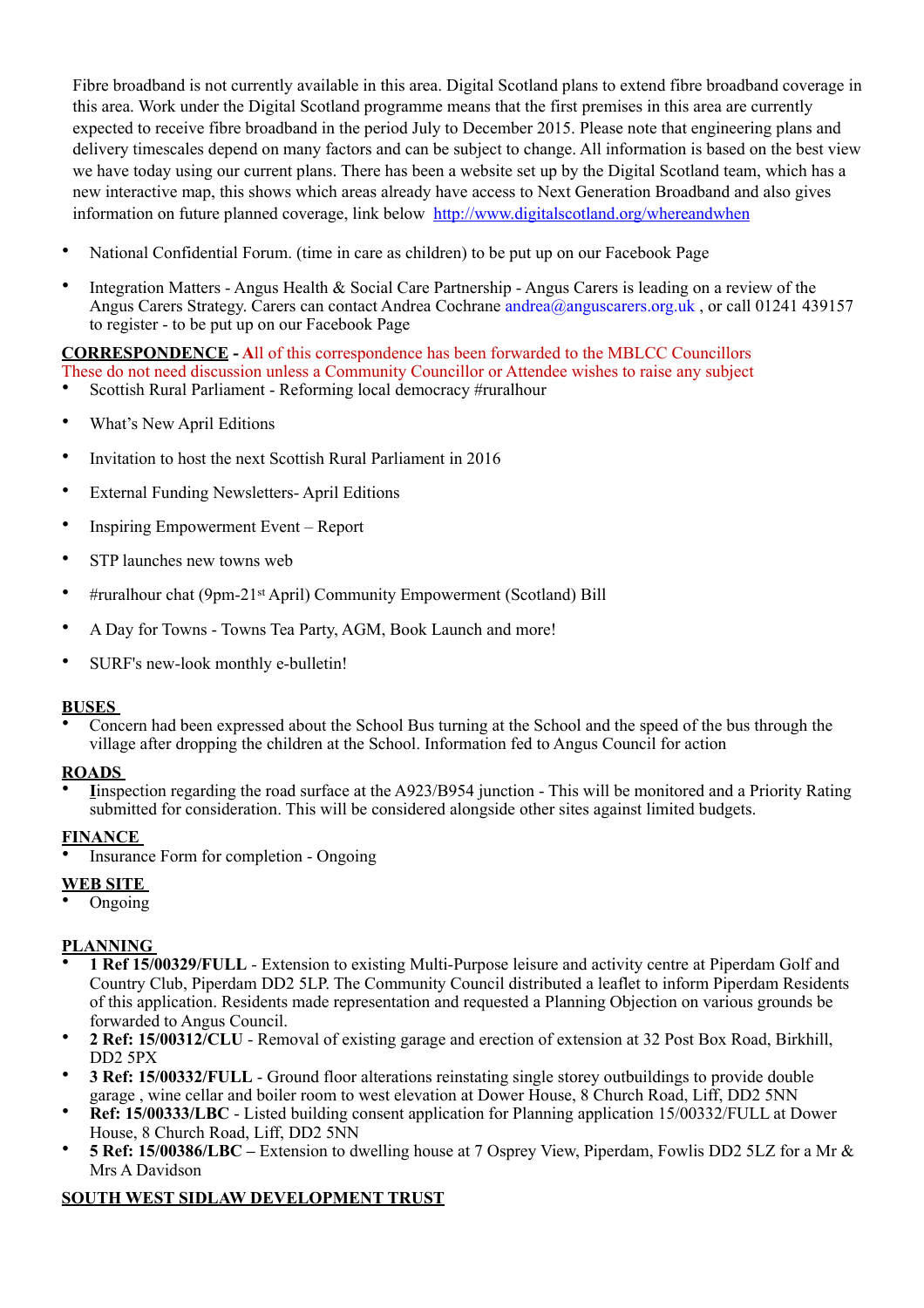Fibre broadband is not currently available in this area. Digital Scotland plans to extend fibre broadband coverage in this area. Work under the Digital Scotland programme means that the first premises in this area are currently expected to receive fibre broadband in the period July to December 2015. Please note that engineering plans and delivery timescales depend on many factors and can be subject to change. All information is based on the best view we have today using our current plans. There has been a website set up by the Digital Scotland team, which has a new interactive map, this shows which areas already have access to Next Generation Broadband and also gives information on future planned coverage, link below <http://www.digitalscotland.org/whereandwhen>

- National Confidential Forum. (time in care as children) to be put up on our Facebook Page
- Integration Matters Angus Health & Social Care Partnership Angus Carers is leading on a review of the Angus Carers Strategy. Carers can contact Andrea Cochrane andrea@anguscarers.org.uk, or call 01241 439157 to register - to be put up on our Facebook Page

**CORRESPONDENCE - A**ll of this correspondence has been forwarded to the MBLCC Councillors These do not need discussion unless a Community Councillor or Attendee wishes to raise any subject

- Scottish Rural Parliament Reforming local democracy #ruralhour
- What's New April Editions
- Invitation to host the next Scottish Rural Parliament in 2016
- External Funding Newsletters- April Editions
- Inspiring Empowerment Event Report
- STP launches new towns web
- #ruralhour chat (9pm-21st April) Community Empowerment (Scotland) Bill
- A Day for Towns Towns Tea Party, AGM, Book Launch and more!
- SURF's new-look monthly e-bulletin!

#### **BUSES**

• Concern had been expressed about the School Bus turning at the School and the speed of the bus through the village after dropping the children at the School. Information fed to Angus Council for action

#### **ROADS**

• **I**inspection regarding the road surface at the A923/B954 junction - This will be monitored and a Priority Rating submitted for consideration. This will be considered alongside other sites against limited budgets.

#### **FINANCE**

• Insurance Form for completion - Ongoing

# **WEB SITE**

• Ongoing

# **PLANNING**

- **1 Ref 15/00329/FULL** Extension to existing Multi-Purpose leisure and activity centre at Piperdam Golf and Country Club, Piperdam DD2 5LP. The Community Council distributed a leaflet to inform Piperdam Residents of this application. Residents made representation and requested a Planning Objection on various grounds be forwarded to Angus Council.
- **2 Ref: 15/00312/CLU** Removal of existing garage and erection of extension at 32 Post Box Road, Birkhill, DD2 5PX
- **3 Ref: 15/00332/FULL** Ground floor alterations reinstating single storey outbuildings to provide double garage , wine cellar and boiler room to west elevation at Dower House, 8 Church Road, Liff, DD2 5NN
- **Ref: 15/00333/LBC**  Listed building consent application for Planning application 15/00332/FULL at Dower House, 8 Church Road, Liff, DD2 5NN
- **5 Ref: 15/00386/LBC** Extension to dwelling house at 7 Osprey View, Piperdam, Fowlis DD2 5LZ for a Mr & Mrs A Davidson

# **SOUTH WEST SIDLAW DEVELOPMENT TRUST**